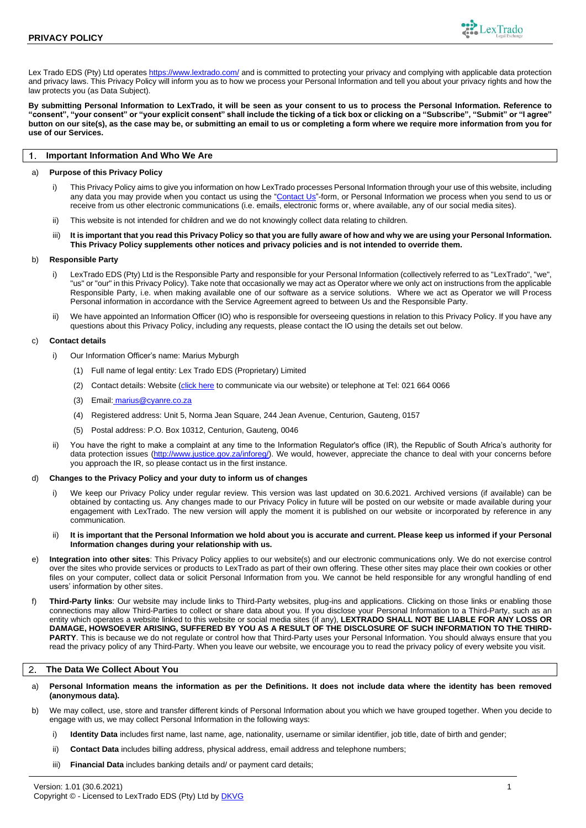

Lex Trado EDS (Pty) Ltd operates <https://www.lextrado.com/> and is committed to protecting your privacy and complying with applicable data protection and privacy laws. This Privacy Policy will inform you as to how we process your Personal Information and tell you about your privacy rights and how the law protects you (as Data Subject).

**By submitting Personal Information to LexTrado, it will be seen as your consent to us to process the Personal Information. Reference to "consent", "your consent" or "your explicit consent" shall include the ticking of a tick box or clicking on a "Subscribe", "Submit" or "I agree" button on our site(s), as the case may be, or submitting an email to us or completing a form where we require more information from you for use of our Services.**

### $\overline{1}$ **Important Information And Who We Are**

## a) **Purpose of this Privacy Policy**

- i) This Privacy Policy aims to give you information on how LexTrado processes Personal Information through your use of this website, including any data you may provide when you contact us using the ["Contact](https://www.lextrado.com/contact/) Us"-form, or Personal Information we process when you send to us or receive from us other electronic communications (i.e. emails, electronic forms or, where available, any of our social media sites).
- ii) This website is not intended for children and we do not knowingly collect data relating to children.
- iii) **It is important that you read this Privacy Policy so that you are fully aware of how and why we are using your Personal Information. This Privacy Policy supplements other notices and privacy policies and is not intended to override them.**

### b) **Responsible Party**

- i) LexTrado EDS (Pty) Ltd is the Responsible Party and responsible for your Personal Information (collectively referred to as "LexTrado", "we", "us" or "our" in this Privacy Policy). Take note that occasionally we may act as Operator where we only act on instructions from the applicable Responsible Party, i.e. when making available one of our software as a service solutions. Where we act as Operator we will Process Personal information in accordance with the Service Agreement agreed to between Us and the Responsible Party.
- We have appointed an Information Officer (IO) who is responsible for overseeing questions in relation to this Privacy Policy. If you have any questions about this Privacy Policy, including any requests, please contact the IO using the details set out below.

# <span id="page-0-0"></span>c) **Contact details**

- i) Our Information Officer's name: Marius Myburgh
	- (1) Full name of legal entity: Lex Trado EDS (Proprietary) Limited
	- (2) Contact details: Website (*c*[lick here](https://www.lextrado.com/contact/) to communicate via our website) or telephone at Tel: 021 664 0066
	- (3) Email: [marius@cyanre.co.za](mailto:marius@cyanre.co.za)
	- (4) Registered address: Unit 5, Norma Jean Square, 244 Jean Avenue, Centurion, Gauteng, 0157
	- (5) Postal address: P.O. Box 10312, Centurion, Gauteng, 0046
- ii) You have the right to make a complaint at any time to the Information Regulator's office (IR), the Republic of South Africa's authority for data protection issues [\(http://www.justice.gov.za/inforeg/\)](http://www.justice.gov.za/inforeg/). We would, however, appreciate the chance to deal with your concerns before you approach the IR, so please contact us in the first instance.

## d) **Changes to the Privacy Policy and your duty to inform us of changes**

- i) We keep our Privacy Policy under regular review. This version was last updated on 30.6.2021. Archived versions (if available) can be obtained by contacting us. Any changes made to our Privacy Policy in future will be posted on our website or made available during your engagement with LexTrado. The new version will apply the moment it is published on our website or incorporated by reference in any communication.
- ii) **It is important that the Personal Information we hold about you is accurate and current. Please keep us informed if your Personal Information changes during your relationship with us.**
- e) **Integration into other sites**: This Privacy Policy applies to our website(s) and our electronic communications only. We do not exercise control over the sites who provide services or products to LexTrado as part of their own offering. These other sites may place their own cookies or other files on your computer, collect data or solicit Personal Information from you. We cannot be held responsible for any wrongful handling of end users' information by other sites.
- f) **Third-Party links**: Our website may include links to Third-Party websites, plug-ins and applications. Clicking on those links or enabling those connections may allow Third-Parties to collect or share data about you. If you disclose your Personal Information to a Third-Party, such as an entity which operates a website linked to this website or social media sites (if any), **LEXTRADO SHALL NOT BE LIABLE FOR ANY LOSS OR DAMAGE, HOWSOEVER ARISING, SUFFERED BY YOU AS A RESULT OF THE DISCLOSURE OF SUCH INFORMATION TO THE THIRD-PARTY**. This is because we do not regulate or control how that Third-Party uses your Personal Information. You should always ensure that you read the privacy policy of any Third-Party. When you leave our website, we encourage you to read the privacy policy of every website you visit.

#### **The Data We Collect About You** 2

- a) **Personal Information means the information as per the Definitions. It does not include data where the identity has been removed (anonymous data).**
- b) We may collect, use, store and transfer different kinds of Personal Information about you which we have grouped together. When you decide to engage with us, we may collect Personal Information in the following ways:
	- i) **Identity Data** includes first name, last name, age, nationality, username or similar identifier, job title, date of birth and gender;
	- ii) **Contact Data** includes billing address, physical address, email address and telephone numbers;
	- iii) **Financial Data** includes banking details and/ or payment card details;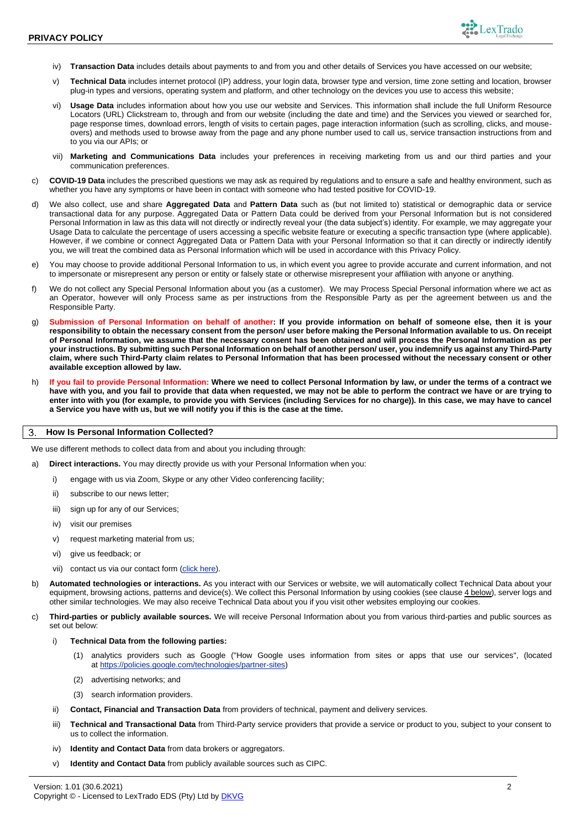

- iv) **Transaction Data** includes details about payments to and from you and other details of Services you have accessed on our website;
- v) **Technical Data** includes internet protocol (IP) address, your login data, browser type and version, time zone setting and location, browser plug-in types and versions, operating system and platform, and other technology on the devices you use to access this website;
- vi) **Usage Data** includes information about how you use our website and Services. This information shall include the full Uniform Resource Locators (URL) Clickstream to, through and from our website (including the date and time) and the Services you viewed or searched for, page response times, download errors, length of visits to certain pages, page interaction information (such as scrolling, clicks, and mouseovers) and methods used to browse away from the page and any phone number used to call us, service transaction instructions from and to you via our APIs; or
- vii) **Marketing and Communications Data** includes your preferences in receiving marketing from us and our third parties and your communication preferences.
- c) **COVID-19 Data** includes the prescribed questions we may ask as required by regulations and to ensure a safe and healthy environment, such as whether you have any symptoms or have been in contact with someone who had tested positive for COVID-19.
- d) We also collect, use and share **Aggregated Data** and **Pattern Data** such as (but not limited to) statistical or demographic data or service transactional data for any purpose. Aggregated Data or Pattern Data could be derived from your Personal Information but is not considered Personal Information in law as this data will not directly or indirectly reveal your (the data subject's) identity. For example, we may aggregate your Usage Data to calculate the percentage of users accessing a specific website feature or executing a specific transaction type (where applicable). However, if we combine or connect Aggregated Data or Pattern Data with your Personal Information so that it can directly or indirectly identify you, we will treat the combined data as Personal Information which will be used in accordance with this Privacy Policy.
- e) You may choose to provide additional Personal Information to us, in which event you agree to provide accurate and current information, and not to impersonate or misrepresent any person or entity or falsely state or otherwise misrepresent your affiliation with anyone or anything.
- f) We do not collect any Special Personal Information about you (as a customer). We may Process Special Personal information where we act as an Operator, however will only Process same as per instructions from the Responsible Party as per the agreement between us and the Responsible Party.
- g) **Submission of Personal Information on behalf of another: If you provide information on behalf of someone else, then it is your responsibility to obtain the necessary consent from the person/ user before making the Personal Information available to us. On receipt of Personal Information, we assume that the necessary consent has been obtained and will process the Personal Information as per your instructions. By submitting such Personal Information on behalf of another person/ user, you indemnify us against any Third-Party claim, where such Third-Party claim relates to Personal Information that has been processed without the necessary consent or other available exception allowed by law.**
- h) **If you fail to provide Personal Information: Where we need to collect Personal Information by law, or under the terms of a contract we have with you, and you fail to provide that data when requested, we may not be able to perform the contract we have or are trying to enter into with you (for example, to provide you with Services (including Services for no charge)). In this case, we may have to cancel a Service you have with us, but we will notify you if this is the case at the time.**

## **How Is Personal Information Collected?**

We use different methods to collect data from and about you including through:

- a) **Direct interactions.** You may directly provide us with your Personal Information when you:
	- i) engage with us via Zoom, Skype or any other Video conferencing facility;
	- ii) subscribe to our news letter;
	- iii) sign up for any of our Services;
	- iv) visit our premises
	- v) request marketing material from us;
	- vi) give us feedback; or
	- vii) contact us via our contact form [\(click here\)](https://www.lextrado.com/contact/).
- b) **Automated technologies or interactions.** As you interact with our Services or website, we will automatically collect Technical Data about your equipment, browsing actions, patterns and device(s). We collect this Personal Information by using cookies (see clause [4 below\)](#page-2-0), server logs and other similar technologies. We may also receive Technical Data about you if you visit other websites employing our cookies.
- c) **Third-parties or publicly available sources.** We will receive Personal Information about you from various third-parties and public sources as set out below:
	- i) **Technical Data from the following parties:**
		- (1) analytics providers such as Google ("How Google uses information from sites or apps that use our services", (located at [https://policies.google.com/technologies/partner-sites\)](https://policies.google.com/technologies/partner-sites)
		- (2) advertising networks; and
		- (3) search information providers.
	- ii) **Contact, Financial and Transaction Data** from providers of technical, payment and delivery services.
	- iii) **Technical and Transactional Data** from Third-Party service providers that provide a service or product to you, subject to your consent to us to collect the information.
	- iv) **Identity and Contact Data** from data brokers or aggregators.
	- v) **Identity and Contact Data** from publicly available sources such as CIPC.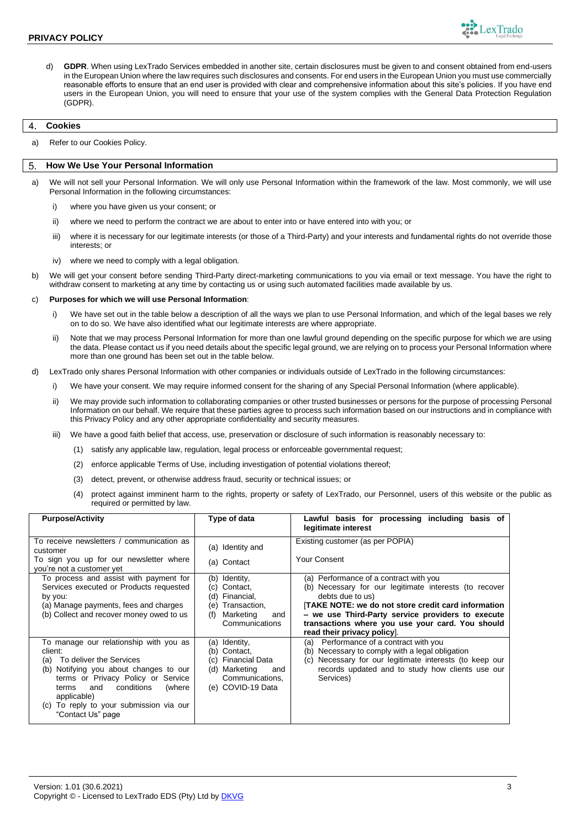

d) **GDPR**. When using LexTrado Services embedded in another site, certain disclosures must be given to and consent obtained from end-users in the European Union where the law requires such disclosures and consents. For end users in the European Union you must use commercially reasonable efforts to ensure that an end user is provided with clear and comprehensive information about this site's policies. If you have end users in the European Union, you will need to ensure that your use of the system complies with the General Data Protection Regulation (GDPR).

### <span id="page-2-0"></span>**Cookies** 4

a) Refer to our Cookies Policy.

### **How We Use Your Personal Information** 5

- a) We will not sell your Personal Information. We will only use Personal Information within the framework of the law. Most commonly, we will use Personal Information in the following circumstances:
	- i) where you have given us your consent; or
	- ii) where we need to perform the contract we are about to enter into or have entered into with you; or
	- iii) where it is necessary for our legitimate interests (or those of a Third-Party) and your interests and fundamental rights do not override those interests; or
	- iv) where we need to comply with a legal obligation.
- b) We will get your consent before sending Third-Party direct-marketing communications to you via email or text message. You have the right to withdraw consent to marketing at any time by contacting us or using such automated facilities made available by us.

### c) **Purposes for which we will use Personal Information**:

- i) We have set out in the table below a description of all the ways we plan to use Personal Information, and which of the legal bases we rely on to do so. We have also identified what our legitimate interests are where appropriate.
- ii) Note that we may process Personal Information for more than one lawful ground depending on the specific purpose for which we are using the data. Please contact us if you need details about the specific legal ground, we are relying on to process your Personal Information where more than one ground has been set out in the table below.
- d) LexTrado only shares Personal Information with other companies or individuals outside of LexTrado in the following circumstances:
	- i) We have your consent. We may require informed consent for the sharing of any Special Personal Information (where applicable).
	- ii) We may provide such information to collaborating companies or other trusted businesses or persons for the purpose of processing Personal Information on our behalf. We require that these parties agree to process such information based on our instructions and in compliance with this Privacy Policy and any other appropriate confidentiality and security measures.
	- iii) We have a good faith belief that access, use, preservation or disclosure of such information is reasonably necessary to:
		- (1) satisfy any applicable law, regulation, legal process or enforceable governmental request;
		- (2) enforce applicable Terms of Use, including investigation of potential violations thereof;
		- (3) detect, prevent, or otherwise address fraud, security or technical issues; or
		- (4) protect against imminent harm to the rights, property or safety of LexTrado, our Personnel, users of this website or the public as required or permitted by law.

| <b>Purpose/Activity</b>                                                                                                                                                                                                                                                                          | Type of data                                                                                                                           | Lawful basis for processing including basis of<br>legitimate interest                                                                                                                                                                                                                                                     |
|--------------------------------------------------------------------------------------------------------------------------------------------------------------------------------------------------------------------------------------------------------------------------------------------------|----------------------------------------------------------------------------------------------------------------------------------------|---------------------------------------------------------------------------------------------------------------------------------------------------------------------------------------------------------------------------------------------------------------------------------------------------------------------------|
| To receive newsletters / communication as<br>customer<br>To sign you up for our newsletter where<br>you're not a customer yet                                                                                                                                                                    | (a) Identity and<br>(a) Contact                                                                                                        | Existing customer (as per POPIA)<br>Your Consent                                                                                                                                                                                                                                                                          |
| To process and assist with payment for<br>Services executed or Products requested<br>by you:<br>(a) Manage payments, fees and charges<br>(b) Collect and recover money owed to us                                                                                                                | Identity,<br>(b)<br>Contact,<br>(C)<br>Financial,<br>(d)<br>Transaction.<br>(e)<br>Marketing<br>(f)<br>and<br>Communications           | (a) Performance of a contract with you<br>(b) Necessary for our legitimate interests (to recover<br>debts due to us)<br><b>TAKE NOTE: we do not store credit card information</b><br>- we use Third-Party service providers to execute<br>transactions where you use your card. You should<br>read their privacy policy]. |
| To manage our relationship with you as<br>client:<br>To deliver the Services<br>(a)<br>Notifying you about changes to our<br>(b)<br>terms or Privacy Policy or Service<br>conditions<br>(where<br>terms<br>and<br>applicable)<br>To reply to your submission via our<br>(C)<br>"Contact Us" page | Identity,<br>(a)<br>Contact,<br>(b)<br><b>Financial Data</b><br>(C)<br>Marketing<br>(d)<br>and<br>Communications,<br>(e) COVID-19 Data | Performance of a contract with you<br>(a)<br>Necessary to comply with a legal obligation<br>(b)<br>Necessary for our legitimate interests (to keep our<br>(c)<br>records updated and to study how clients use our<br>Services)                                                                                            |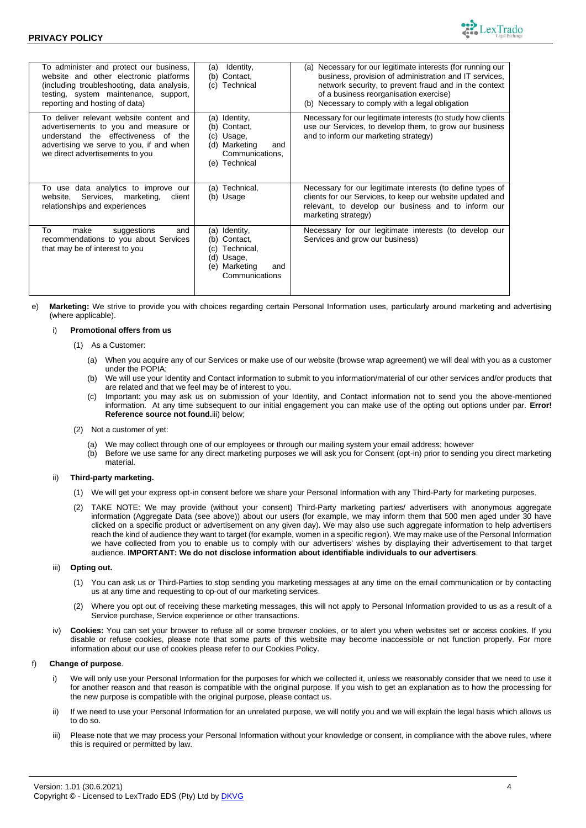

| To administer and protect our business,<br>website and other electronic platforms<br>(including troubleshooting, data analysis,<br>testing, system maintenance, support,<br>reporting and hosting of data) | Identity,<br>(a)<br>Contact,<br>(b)<br>Technical<br>(C)                                                          | (a) Necessary for our legitimate interests (for running our<br>business, provision of administration and IT services,<br>network security, to prevent fraud and in the context<br>of a business reorganisation exercise)<br>(b) Necessary to comply with a legal obligation |
|------------------------------------------------------------------------------------------------------------------------------------------------------------------------------------------------------------|------------------------------------------------------------------------------------------------------------------|-----------------------------------------------------------------------------------------------------------------------------------------------------------------------------------------------------------------------------------------------------------------------------|
| To deliver relevant website content and<br>advertisements to you and measure or<br>understand the effectiveness of<br>the<br>advertising we serve to you, if and when<br>we direct advertisements to you   | (a) Identity,<br>(b) Contact.<br>(c) Usage,<br>Marketing<br>(d)<br>and<br>Communications,<br>(e) Technical       | Necessary for our legitimate interests (to study how clients<br>use our Services, to develop them, to grow our business<br>and to inform our marketing strategy)                                                                                                            |
| To use data analytics to improve our<br>website, Services, marketing,<br>client<br>relationships and experiences                                                                                           | Technical,<br>(a)<br>(b) Usage                                                                                   | Necessary for our legitimate interests (to define types of<br>clients for our Services, to keep our website updated and<br>relevant, to develop our business and to inform our<br>marketing strategy)                                                                       |
| To<br>make<br>suggestions<br>and<br>recommendations to you about Services<br>that may be of interest to you                                                                                                | (a) Identity,<br>Contact,<br>(b)<br>Technical,<br>(C)<br>(d) Usage,<br>Marketing<br>(e)<br>and<br>Communications | Necessary for our legitimate interests (to develop our<br>Services and grow our business)                                                                                                                                                                                   |

e) **Marketing:** We strive to provide you with choices regarding certain Personal Information uses, particularly around marketing and advertising (where applicable).

## i) **Promotional offers from us**

- (1) As a Customer:
	- (a) When you acquire any of our Services or make use of our website (browse wrap agreement) we will deal with you as a customer under the POPIA;
	- (b) We will use your Identity and Contact information to submit to you information/material of our other services and/or products that are related and that we feel may be of interest to you.
	- (c) Important: you may ask us on submission of your Identity, and Contact information not to send you the above-mentioned information. At any time subsequent to our initial engagement you can make use of the opting out options under par. **Error! Reference source not found.**[iii\) below;](#page-3-0)
- (2) Not a customer of yet:
	- (a) We may collect through one of our employees or through our mailing system your email address; however
	- (b) Before we use same for any direct marketing purposes we will ask you for Consent (opt-in) prior to sending you direct marketing material.

# ii) **Third-party marketing.**

- (1) We will get your express opt-in consent before we share your Personal Information with any Third-Party for marketing purposes.
- (2) TAKE NOTE: We may provide (without your consent) Third-Party marketing parties/ advertisers with anonymous aggregate information (Aggregate Data (see above)) about our users (for example, we may inform them that 500 men aged under 30 have clicked on a specific product or advertisement on any given day). We may also use such aggregate information to help advertisers reach the kind of audience they want to target (for example, women in a specific region). We may make use of the Personal Information we have collected from you to enable us to comply with our advertisers' wishes by displaying their advertisement to that target audience. **IMPORTANT: We do not disclose information about identifiable individuals to our advertisers**.

### <span id="page-3-0"></span>iii) **Opting out.**

- (1) You can ask us or Third-Parties to stop sending you marketing messages at any time on the email communication or by contacting us at any time and requesting to op-out of our marketing services.
- (2) Where you opt out of receiving these marketing messages, this will not apply to Personal Information provided to us as a result of a Service purchase, Service experience or other transactions.
- iv) **Cookies:** You can set your browser to refuse all or some browser cookies, or to alert you when websites set or access cookies. If you disable or refuse cookies, please note that some parts of this website may become inaccessible or not function properly. For more information about our use of cookies please refer to our Cookies Policy.

## f) **Change of purpose**.

- We will only use your Personal Information for the purposes for which we collected it, unless we reasonably consider that we need to use it for another reason and that reason is compatible with the original purpose. If you wish to get an explanation as to how the processing for the new purpose is compatible with the original purpose, please contact us.
- ii) If we need to use your Personal Information for an unrelated purpose, we will notify you and we will explain the legal basis which allows us to do so.
- iii) Please note that we may process your Personal Information without your knowledge or consent, in compliance with the above rules, where this is required or permitted by law.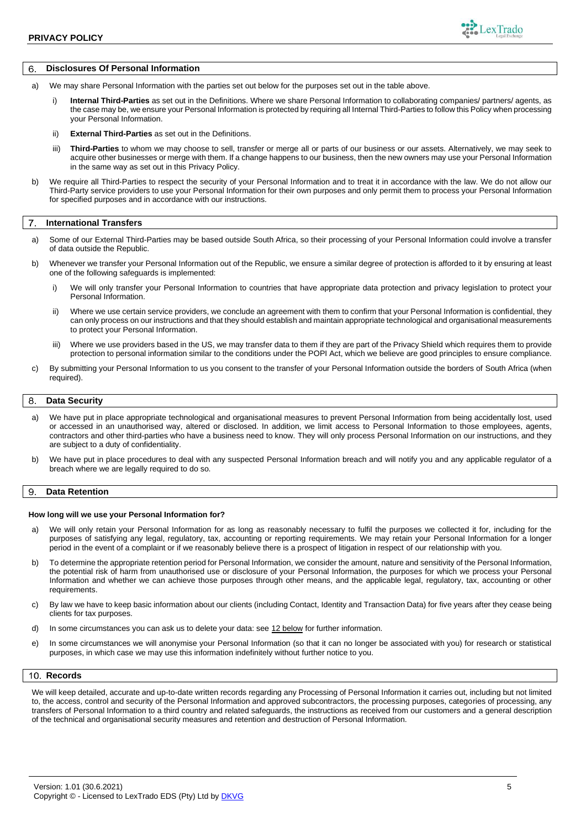

# **Disclosures Of Personal Information**

- a) We may share Personal Information with the parties set out below for the purposes set out in the table above.
	- i) **Internal Third-Parties** as set out in the Definitions. Where we share Personal Information to collaborating companies/ partners/ agents, as the case may be, we ensure your Personal Information is protected by requiring all Internal Third-Parties to follow this Policy when processing your Personal Information.
	- ii) **External Third-Parties** as set out in the Definitions.
	- iii) **Third-Parties** to whom we may choose to sell, transfer or merge all or parts of our business or our assets. Alternatively, we may seek to acquire other businesses or merge with them. If a change happens to our business, then the new owners may use your Personal Information in the same way as set out in this Privacy Policy.
- b) We require all Third-Parties to respect the security of your Personal Information and to treat it in accordance with the law. We do not allow our Third-Party service providers to use your Personal Information for their own purposes and only permit them to process your Personal Information for specified purposes and in accordance with our instructions.

### $\overline{7}$ **International Transfers**

- a) Some of our External Third-Parties may be based outside South Africa, so their processing of your Personal Information could involve a transfer of data outside the Republic.
- b) Whenever we transfer your Personal Information out of the Republic, we ensure a similar degree of protection is afforded to it by ensuring at least one of the following safeguards is implemented:
	- i) We will only transfer your Personal Information to countries that have appropriate data protection and privacy legislation to protect your Personal Information.
	- ii) Where we use certain service providers, we conclude an agreement with them to confirm that your Personal Information is confidential, they can only process on our instructions and that they should establish and maintain appropriate technological and organisational measurements to protect your Personal Information.
	- iii) Where we use providers based in the US, we may transfer data to them if they are part of the Privacy Shield which requires them to provide protection to personal information similar to the conditions under the POPI Act, which we believe are good principles to ensure compliance.
- c) By submitting your Personal Information to us you consent to the transfer of your Personal Information outside the borders of South Africa (when required).

### 8 **Data Security**

- a) We have put in place appropriate technological and organisational measures to prevent Personal Information from being accidentally lost, used or accessed in an unauthorised way, altered or disclosed. In addition, we limit access to Personal Information to those employees, agents, contractors and other third-parties who have a business need to know. They will only process Personal Information on our instructions, and they are subject to a duty of confidentiality.
- b) We have put in place procedures to deal with any suspected Personal Information breach and will notify you and any applicable regulator of a breach where we are legally required to do so.

### **Data Retention** 9

### **How long will we use your Personal Information for?**

- a) We will only retain your Personal Information for as long as reasonably necessary to fulfil the purposes we collected it for, including for the purposes of satisfying any legal, regulatory, tax, accounting or reporting requirements. We may retain your Personal Information for a longer period in the event of a complaint or if we reasonably believe there is a prospect of litigation in respect of our relationship with you.
- b) To determine the appropriate retention period for Personal Information, we consider the amount, nature and sensitivity of the Personal Information, the potential risk of harm from unauthorised use or disclosure of your Personal Information, the purposes for which we process your Personal Information and whether we can achieve those purposes through other means, and the applicable legal, regulatory, tax, accounting or other requirements.
- c) By law we have to keep basic information about our clients (including Contact, Identity and Transaction Data) for five years after they cease being clients for tax purposes.
- d) In some circumstances you can ask us to delete your data: se[e 12 below](#page-5-0) for further information.
- e) In some circumstances we will anonymise your Personal Information (so that it can no longer be associated with you) for research or statistical purposes, in which case we may use this information indefinitely without further notice to you.

## 10. Records

We will keep detailed, accurate and up-to-date written records regarding any Processing of Personal Information it carries out, including but not limited to, the access, control and security of the Personal Information and approved subcontractors, the processing purposes, categories of processing, any transfers of Personal Information to a third country and related safeguards, the instructions as received from our customers and a general description of the technical and organisational security measures and retention and destruction of Personal Information.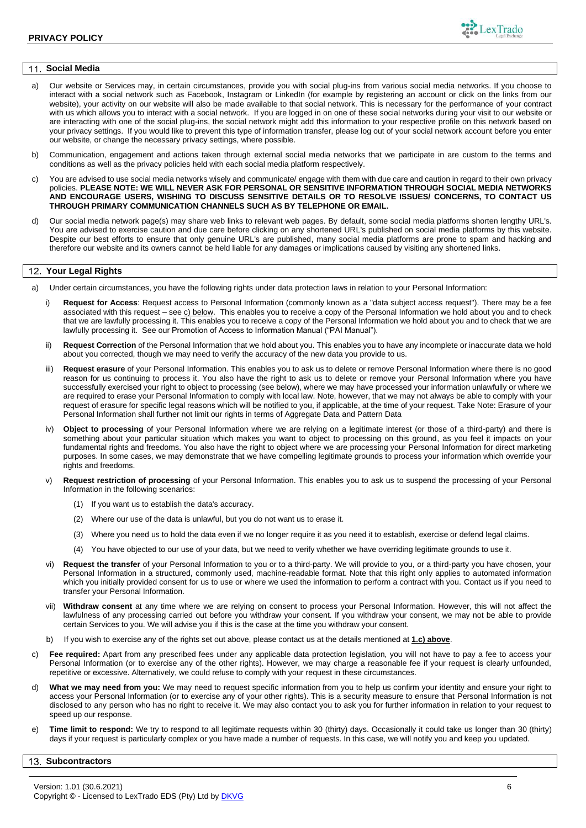

### **Social Media** 11.

- a) Our website or Services may, in certain circumstances, provide you with social plug-ins from various social media networks. If you choose to interact with a social network such as Facebook, Instagram or LinkedIn (for example by registering an account or click on the links from our website), your activity on our website will also be made available to that social network. This is necessary for the performance of your contract with us which allows you to interact with a social network. If you are logged in on one of these social networks during your visit to our website or are interacting with one of the social plug-ins, the social network might add this information to your respective profile on this network based on your privacy settings. If you would like to prevent this type of information transfer, please log out of your social network account before you enter our website, or change the necessary privacy settings, where possible.
- b) Communication, engagement and actions taken through external social media networks that we participate in are custom to the terms and conditions as well as the privacy policies held with each social media platform respectively.
- c) You are advised to use social media networks wisely and communicate/ engage with them with due care and caution in regard to their own privacy policies. **PLEASE NOTE: WE WILL NEVER ASK FOR PERSONAL OR SENSITIVE INFORMATION THROUGH SOCIAL MEDIA NETWORKS AND ENCOURAGE USERS, WISHING TO DISCUSS SENSITIVE DETAILS OR TO RESOLVE ISSUES/ CONCERNS, TO CONTACT US THROUGH PRIMARY COMMUNICATION CHANNELS SUCH AS BY TELEPHONE OR EMAIL.**
- d) Our social media network page(s) may share web links to relevant web pages. By default, some social media platforms shorten lengthy URL's. You are advised to exercise caution and due care before clicking on any shortened URL's published on social media platforms by this website. Despite our best efforts to ensure that only genuine URL's are published, many social media platforms are prone to spam and hacking and therefore our website and its owners cannot be held liable for any damages or implications caused by visiting any shortened links.

#### <span id="page-5-0"></span> $12$ **Your Legal Rights**

- a) Under certain circumstances, you have the following rights under data protection laws in relation to your Personal Information:
	- i) **Request for Access**: Request access to Personal Information (commonly known as a "data subject access request"). There may be a fee associated with this request – see [c\) below.](#page-5-1) This enables you to receive a copy of the Personal Information we hold about you and to check that we are lawfully processing it. This enables you to receive a copy of the Personal Information we hold about you and to check that we are lawfully processing it. See our Promotion of Access to Information Manual ("PAI Manual").
	- ii) **Request Correction** of the Personal Information that we hold about you. This enables you to have any incomplete or inaccurate data we hold about you corrected, though we may need to verify the accuracy of the new data you provide to us.
	- iii) Request erasure of your Personal Information. This enables you to ask us to delete or remove Personal Information where there is no good reason for us continuing to process it. You also have the right to ask us to delete or remove your Personal Information where you have successfully exercised your right to object to processing (see below), where we may have processed your information unlawfully or where we are required to erase your Personal Information to comply with local law. Note, however, that we may not always be able to comply with your request of erasure for specific legal reasons which will be notified to you, if applicable, at the time of your request. Take Note: Erasure of your Personal Information shall further not limit our rights in terms of Aggregate Data and Pattern Data
	- iv) **Object to processing** of your Personal Information where we are relying on a legitimate interest (or those of a third-party) and there is something about your particular situation which makes you want to object to processing on this ground, as you feel it impacts on your fundamental rights and freedoms. You also have the right to object where we are processing your Personal Information for direct marketing purposes. In some cases, we may demonstrate that we have compelling legitimate grounds to process your information which override your rights and freedoms.
	- **Request restriction of processing** of your Personal Information. This enables you to ask us to suspend the processing of your Personal Information in the following scenarios:
		- (1) If you want us to establish the data's accuracy.
		- (2) Where our use of the data is unlawful, but you do not want us to erase it.
		- (3) Where you need us to hold the data even if we no longer require it as you need it to establish, exercise or defend legal claims.
		- (4) You have objected to our use of your data, but we need to verify whether we have overriding legitimate grounds to use it.
	- vi) **Request the transfer** of your Personal Information to you or to a third-party. We will provide to you, or a third-party you have chosen, your Personal Information in a structured, commonly used, machine-readable format. Note that this right only applies to automated information which you initially provided consent for us to use or where we used the information to perform a contract with you. Contact us if you need to transfer your Personal Information.
	- vii) **Withdraw consent** at any time where we are relying on consent to process your Personal Information. However, this will not affect the lawfulness of any processing carried out before you withdraw your consent. If you withdraw your consent, we may not be able to provide certain Services to you. We will advise you if this is the case at the time you withdraw your consent.
	- b) If you wish to exercise any of the rights set out above, please contact us at the details mentioned at **[1.c\) above](#page-0-0)**.
- <span id="page-5-1"></span>c) **Fee required:** Apart from any prescribed fees under any applicable data protection legislation, you will not have to pay a fee to access your Personal Information (or to exercise any of the other rights). However, we may charge a reasonable fee if your request is clearly unfounded, repetitive or excessive. Alternatively, we could refuse to comply with your request in these circumstances.
- d) **What we may need from you:** We may need to request specific information from you to help us confirm your identity and ensure your right to access your Personal Information (or to exercise any of your other rights). This is a security measure to ensure that Personal Information is not disclosed to any person who has no right to receive it. We may also contact you to ask you for further information in relation to your request to speed up our response.
- e) **Time limit to respond:** We try to respond to all legitimate requests within 30 (thirty) days. Occasionally it could take us longer than 30 (thirty) days if your request is particularly complex or you have made a number of requests. In this case, we will notify you and keep you updated.

#### **Subcontractors**13.